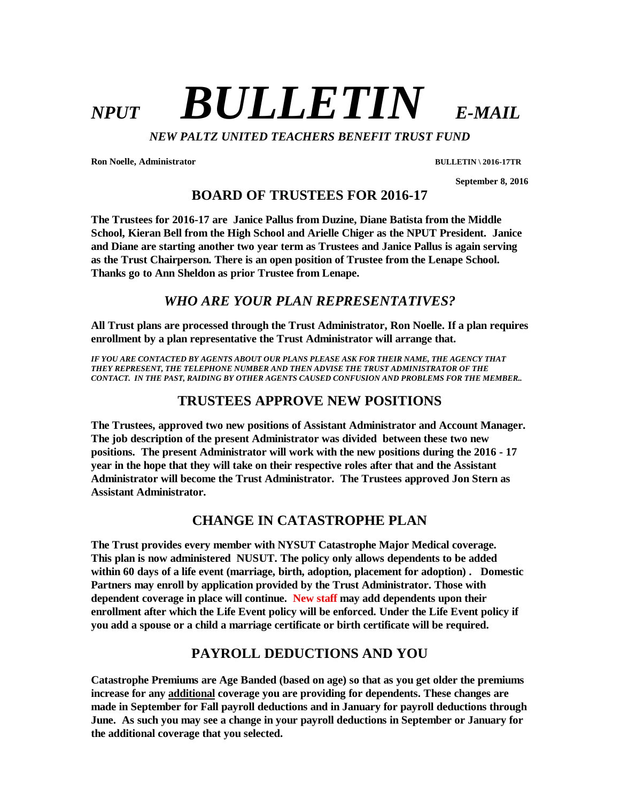# $NPIIT$  **BULLETIN** *E-MAIL*

*NEW PALTZ UNITED TEACHERS BENEFIT TRUST FUND* 

**Ron Noelle, Administrator BULLETIN \ 2016-17TR** 

 **September 8, 2016** 

**BOARD OF TRUSTEES FOR 2016-17** 

**The Trustees for 2016-17 are Janice Pallus from Duzine, Diane Batista from the Middle School, Kieran Bell from the High School and Arielle Chiger as the NPUT President. Janice and Diane are starting another two year term as Trustees and Janice Pallus is again serving as the Trust Chairperson. There is an open position of Trustee from the Lenape School. Thanks go to Ann Sheldon as prior Trustee from Lenape.** 

# *WHO ARE YOUR PLAN REPRESENTATIVES?*

**All Trust plans are processed through the Trust Administrator, Ron Noelle. If a plan requires enrollment by a plan representative the Trust Administrator will arrange that.** 

*IF YOU ARE CONTACTED BY AGENTS ABOUT OUR PLANS PLEASE ASK FOR THEIR NAME, THE AGENCY THAT THEY REPRESENT, THE TELEPHONE NUMBER AND THEN ADVISE THE TRUST ADMINISTRATOR OF THE CONTACT. IN THE PAST, RAIDING BY OTHER AGENTS CAUSED CONFUSION AND PROBLEMS FOR THE MEMBER..* 

# **TRUSTEES APPROVE NEW POSITIONS**

**The Trustees, approved two new positions of Assistant Administrator and Account Manager. The job description of the present Administrator was divided between these two new positions. The present Administrator will work with the new positions during the 2016 - 17 year in the hope that they will take on their respective roles after that and the Assistant Administrator will become the Trust Administrator. The Trustees approved Jon Stern as Assistant Administrator.**

# **CHANGE IN CATASTROPHE PLAN**

**The Trust provides every member with NYSUT Catastrophe Major Medical coverage. This plan is now administered NUSUT. The policy only allows dependents to be added within 60 days of a life event (marriage, birth, adoption, placement for adoption) . Domestic Partners may enroll by application provided by the Trust Administrator. Those with dependent coverage in place will continue. New staff may add dependents upon their enrollment after which the Life Event policy will be enforced. Under the Life Event policy if you add a spouse or a child a marriage certificate or birth certificate will be required.** 

# **PAYROLL DEDUCTIONS AND YOU**

**Catastrophe Premiums are Age Banded (based on age) so that as you get older the premiums increase for any additional coverage you are providing for dependents. These changes are made in September for Fall payroll deductions and in January for payroll deductions through June. As such you may see a change in your payroll deductions in September or January for the additional coverage that you selected.**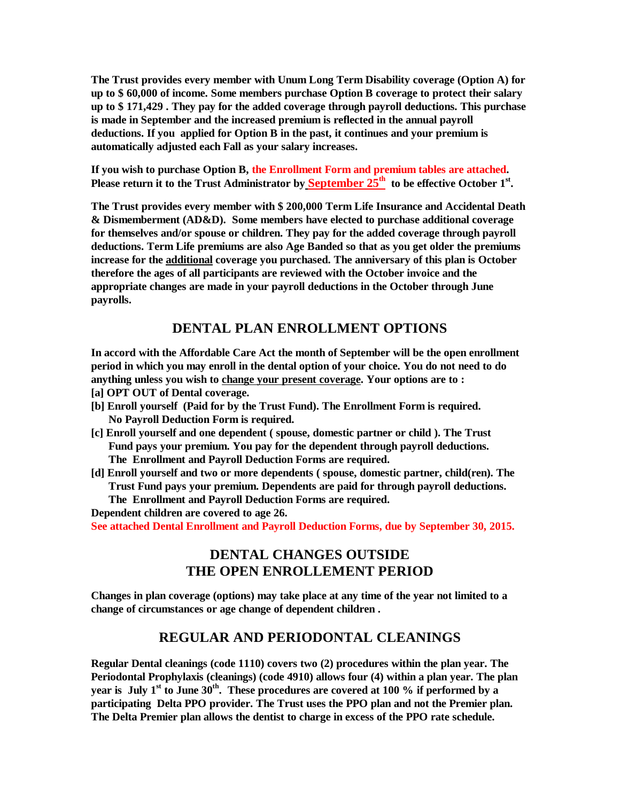**The Trust provides every member with Unum Long Term Disability coverage (Option A) for up to \$ 60,000 of income. Some members purchase Option B coverage to protect their salary up to \$ 171,429 . They pay for the added coverage through payroll deductions. This purchase is made in September and the increased premium is reflected in the annual payroll deductions. If you applied for Option B in the past, it continues and your premium is automatically adjusted each Fall as your salary increases.** 

**If you wish to purchase Option B, the Enrollment Form and premium tables are attached.**  Please return it to the Trust Administrator by **September 25<sup>th</sup>** to be effective October 1<sup>st</sup>.

**The Trust provides every member with \$ 200,000 Term Life Insurance and Accidental Death & Dismemberment (AD&D). Some members have elected to purchase additional coverage for themselves and/or spouse or children. They pay for the added coverage through payroll deductions. Term Life premiums are also Age Banded so that as you get older the premiums increase for the additional coverage you purchased. The anniversary of this plan is October therefore the ages of all participants are reviewed with the October invoice and the appropriate changes are made in your payroll deductions in the October through June payrolls.** 

#### **DENTAL PLAN ENROLLMENT OPTIONS**

**In accord with the Affordable Care Act the month of September will be the open enrollment period in which you may enroll in the dental option of your choice. You do not need to do anything unless you wish to change your present coverage. Your options are to :** 

- **[a] OPT OUT of Dental coverage.**
- **[b] Enroll yourself (Paid for by the Trust Fund). The Enrollment Form is required. No Payroll Deduction Form is required.**
- **[c] Enroll yourself and one dependent ( spouse, domestic partner or child ). The Trust Fund pays your premium. You pay for the dependent through payroll deductions. The Enrollment and Payroll Deduction Forms are required.**
- **[d] Enroll yourself and two or more dependents ( spouse, domestic partner, child(ren). The Trust Fund pays your premium. Dependents are paid for through payroll deductions. The Enrollment and Payroll Deduction Forms are required.**

**Dependent children are covered to age 26.** 

**See attached Dental Enrollment and Payroll Deduction Forms, due by September 30, 2015.** 

# **DENTAL CHANGES OUTSIDE THE OPEN ENROLLEMENT PERIOD**

**Changes in plan coverage (options) may take place at any time of the year not limited to a change of circumstances or age change of dependent children .** 

#### **REGULAR AND PERIODONTAL CLEANINGS**

**Regular Dental cleanings (code 1110) covers two (2) procedures within the plan year. The Periodontal Prophylaxis (cleanings) (code 4910) allows four (4) within a plan year. The plan year is July 1st to June 30th. These procedures are covered at 100 % if performed by a participating Delta PPO provider. The Trust uses the PPO plan and not the Premier plan. The Delta Premier plan allows the dentist to charge in excess of the PPO rate schedule.**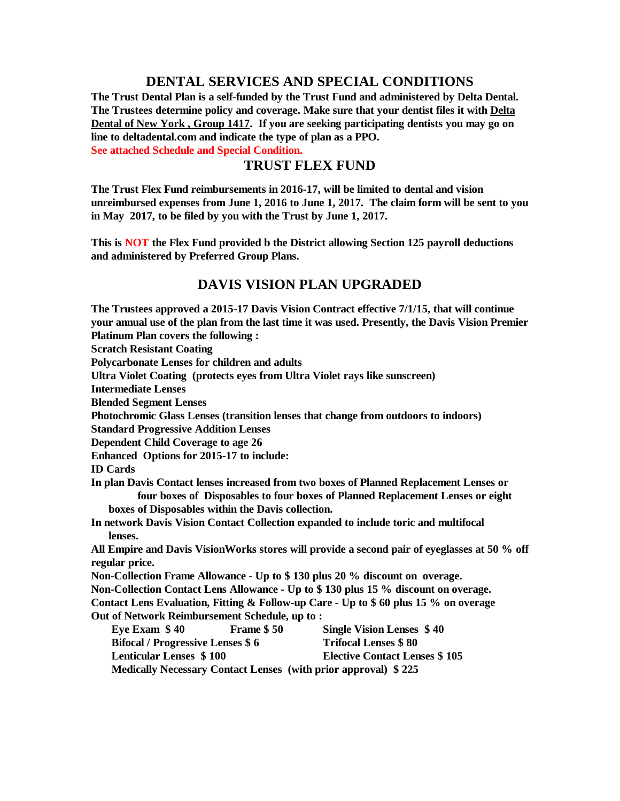#### **DENTAL SERVICES AND SPECIAL CONDITIONS**

**The Trust Dental Plan is a self-funded by the Trust Fund and administered by Delta Dental. The Trustees determine policy and coverage. Make sure that your dentist files it with Delta Dental of New York , Group 1417. If you are seeking participating dentists you may go on line to deltadental.com and indicate the type of plan as a PPO.** 

**See attached Schedule and Special Condition.** 

#### **TRUST FLEX FUND**

**The Trust Flex Fund reimbursements in 2016-17, will be limited to dental and vision unreimbursed expenses from June 1, 2016 to June 1, 2017. The claim form will be sent to you in May 2017, to be filed by you with the Trust by June 1, 2017.** 

**This is NOT the Flex Fund provided b the District allowing Section 125 payroll deductions and administered by Preferred Group Plans.** 

#### **DAVIS VISION PLAN UPGRADED**

**The Trustees approved a 2015-17 Davis Vision Contract effective 7/1/15, that will continue your annual use of the plan from the last time it was used. Presently, the Davis Vision Premier Platinum Plan covers the following : Scratch Resistant Coating Polycarbonate Lenses for children and adults Ultra Violet Coating (protects eyes from Ultra Violet rays like sunscreen) Intermediate Lenses Blended Segment Lenses Photochromic Glass Lenses (transition lenses that change from outdoors to indoors) Standard Progressive Addition Lenses Dependent Child Coverage to age 26 Enhanced Options for 2015-17 to include: ID Cards In plan Davis Contact lenses increased from two boxes of Planned Replacement Lenses or four boxes of Disposables to four boxes of Planned Replacement Lenses or eight boxes of Disposables within the Davis collection. In network Davis Vision Contact Collection expanded to include toric and multifocal lenses. All Empire and Davis VisionWorks stores will provide a second pair of eyeglasses at 50 % off regular price. Non-Collection Frame Allowance - Up to \$ 130 plus 20 % discount on overage. Non-Collection Contact Lens Allowance - Up to \$ 130 plus 15 % discount on overage. Contact Lens Evaluation, Fitting & Follow-up Care - Up to \$ 60 plus 15 % on overage Out of Network Reimbursement Schedule, up to : Eye Exam \$ 40 Frame \$ 50 Single Vision Lenses \$ 40 Bifocal / Progressive Lenses \$ 6 Trifocal Lenses \$ 80 Lenticular Lenses \$ 100 Elective Contact Lenses \$ 105 Medically Necessary Contact Lenses (with prior approval) \$ 225**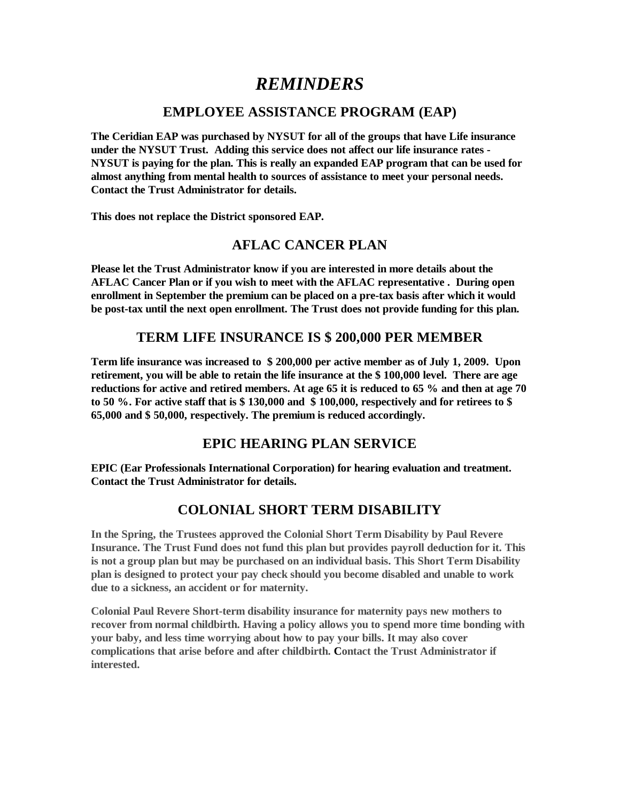# *REMINDERS*

### **EMPLOYEE ASSISTANCE PROGRAM (EAP)**

**The Ceridian EAP was purchased by NYSUT for all of the groups that have Life insurance under the NYSUT Trust. Adding this service does not affect our life insurance rates - NYSUT is paying for the plan. This is really an expanded EAP program that can be used for almost anything from mental health to sources of assistance to meet your personal needs. Contact the Trust Administrator for details.** 

**This does not replace the District sponsored EAP.** 

#### **AFLAC CANCER PLAN**

**Please let the Trust Administrator know if you are interested in more details about the AFLAC Cancer Plan or if you wish to meet with the AFLAC representative . During open enrollment in September the premium can be placed on a pre-tax basis after which it would be post-tax until the next open enrollment. The Trust does not provide funding for this plan.** 

#### **TERM LIFE INSURANCE IS \$ 200,000 PER MEMBER**

**Term life insurance was increased to \$ 200,000 per active member as of July 1, 2009. Upon retirement, you will be able to retain the life insurance at the \$ 100,000 level. There are age reductions for active and retired members. At age 65 it is reduced to 65 % and then at age 70 to 50 %. For active staff that is \$ 130,000 and \$ 100,000, respectively and for retirees to \$ 65,000 and \$ 50,000, respectively. The premium is reduced accordingly.** 

# **EPIC HEARING PLAN SERVICE**

**EPIC (Ear Professionals International Corporation) for hearing evaluation and treatment. Contact the Trust Administrator for details.** 

# **COLONIAL SHORT TERM DISABILITY**

**In the Spring, the Trustees approved the Colonial Short Term Disability by Paul Revere Insurance. The Trust Fund does not fund this plan but provides payroll deduction for it. This is not a group plan but may be purchased on an individual basis. This Short Term Disability plan is designed to protect your pay check should you become disabled and unable to work due to a sickness, an accident or for maternity.** 

**Colonial Paul Revere Short-term disability insurance for maternity pays new mothers to recover from normal childbirth. Having a policy allows you to spend more time bonding with your baby, and less time worrying about how to pay your bills. It may also cover complications that arise before and after childbirth. Contact the Trust Administrator if interested.**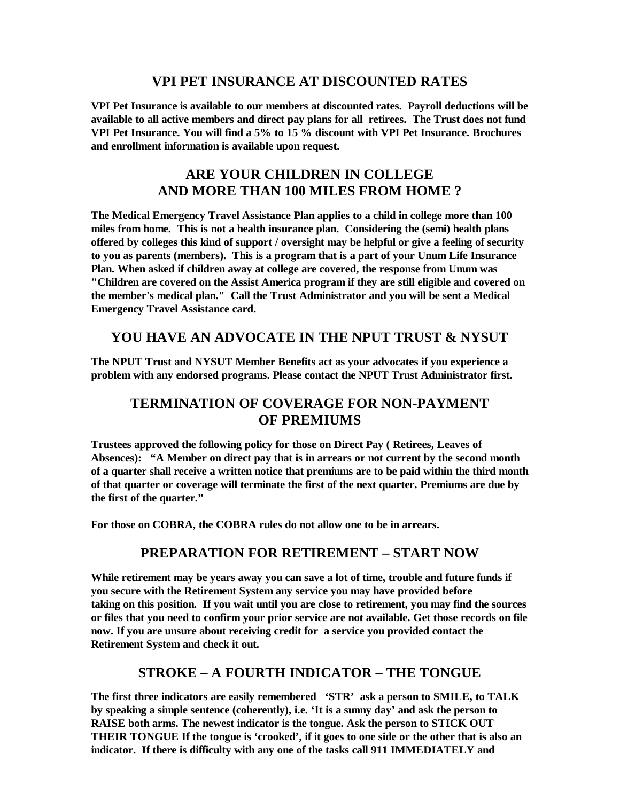#### **VPI PET INSURANCE AT DISCOUNTED RATES**

**VPI Pet Insurance is available to our members at discounted rates. Payroll deductions will be available to all active members and direct pay plans for all retirees. The Trust does not fund VPI Pet Insurance. You will find a 5% to 15 % discount with VPI Pet Insurance. Brochures and enrollment information is available upon request.** 

# **ARE YOUR CHILDREN IN COLLEGE AND MORE THAN 100 MILES FROM HOME ?**

**The Medical Emergency Travel Assistance Plan applies to a child in college more than 100 miles from home. This is not a health insurance plan. Considering the (semi) health plans offered by colleges this kind of support / oversight may be helpful or give a feeling of security to you as parents (members). This is a program that is a part of your Unum Life Insurance Plan. When asked if children away at college are covered, the response from Unum was "Children are covered on the Assist America program if they are still eligible and covered on the member's medical plan." Call the Trust Administrator and you will be sent a Medical Emergency Travel Assistance card.** 

#### **YOU HAVE AN ADVOCATE IN THE NPUT TRUST & NYSUT**

**The NPUT Trust and NYSUT Member Benefits act as your advocates if you experience a problem with any endorsed programs. Please contact the NPUT Trust Administrator first.** 

# **TERMINATION OF COVERAGE FOR NON-PAYMENT OF PREMIUMS**

**Trustees approved the following policy for those on Direct Pay ( Retirees, Leaves of Absences): "A Member on direct pay that is in arrears or not current by the second month of a quarter shall receive a written notice that premiums are to be paid within the third month of that quarter or coverage will terminate the first of the next quarter. Premiums are due by the first of the quarter."** 

**For those on COBRA, the COBRA rules do not allow one to be in arrears.** 

# **PREPARATION FOR RETIREMENT – START NOW**

**While retirement may be years away you can save a lot of time, trouble and future funds if you secure with the Retirement System any service you may have provided before taking on this position. If you wait until you are close to retirement, you may find the sources or files that you need to confirm your prior service are not available. Get those records on file now. If you are unsure about receiving credit for a service you provided contact the Retirement System and check it out.** 

# **STROKE – A FOURTH INDICATOR – THE TONGUE**

**The first three indicators are easily remembered 'STR' ask a person to SMILE, to TALK by speaking a simple sentence (coherently), i.e. 'It is a sunny day' and ask the person to RAISE both arms. The newest indicator is the tongue. Ask the person to STICK OUT THEIR TONGUE If the tongue is 'crooked', if it goes to one side or the other that is also an indicator. If there is difficulty with any one of the tasks call 911 IMMEDIATELY and**